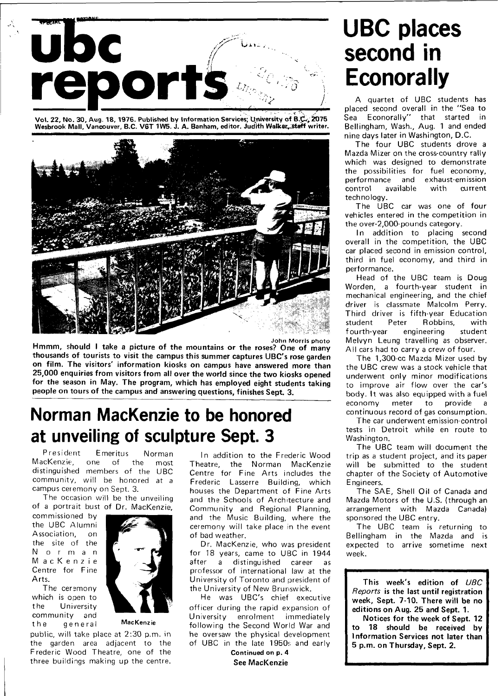

Vol. 22, No. 30, Aug. 18, 1976. Published by Information Services; University of B.C., 2075 Wesbrook Mall, Vancouver, B.C. V6T 1W5. J. A. Banham, editor. Judith Walker, staff writer.



Hmmm, should I take a picture of the mountains or the roses? One of many thousands of tourists to visit the campus this summer captures UBC's rose garden on film. The visitors' information kiosks on campus have answered more than 25,000 enquiries from visitors from all over the world since the two kiosks opened for the season in May. The program, which has employed eight students taking people on tours of the campus and answering questions, finishes Sept. 3.

## **Norman MacKenzie to be honored at unveiling of sculpture Sept. 3**

President Emeritus Norman MacKenzie, one of the most distinguished members of the UBC community, will be honored at a campus ceremony on Sept. 3.

The occasion will be the unveiling of a portrait bust of Dr. MacKenzie,

commissioned by the UBC Alumni Association, on the site of the N o r m a n M ac Kenzie Centre for Fine Arts.

The cersmony which is open to the University community and the general MacKenzie



public, will take place at 2:30 p.m. in the garden area adjacent to the Frederic Wood Theatre, one of the three buildings making up the centre.

In addition to the Frederic Wood Theatre, the Norman MacKenzie Centre for Fine Arts includes the Frederic Lasserre Building, which houses the Department of Fine Arts and the Schools of Architecture and Community and Regional Planning, and the Music Building, where the ceremony will take place in the event of bad weather.

Dr. MacKenzie, who was president for 18 years, came to UBC in 1944 after a distinguished career as professor of international law at the University of Toronto and president of the University of New Brunswick.

He was UBC's chief executive officer during the rapid expansion of University enrolment immediately following the Second World War and he oversaw the physical development of UBC in the late 1950s and early

> Continued on p. 4 See MacKenzie

## **UBC places second in Econorally**

A quartet of UBC students has placed second overall in the "Sea to Sea Econorally" that started in Bellingham, Wash., Aug. 1 and ended nine days later in Washington, D.C.

The four UBC students drove a Mazda Mizer on the cross-country rally which was designed to demonstrate the possibilities for fuel economy, performance and exhaust-emission control available with current technology.

The UBC car was one of four vehicles entered in the competition in the over-2,000-pounds category.

In addition to placing second overall in the competition, the UBC car placed second in emission control, third in fuel economy, and third in performance.

Head of the UBC team is Doug Worden, a fourth-year student in mechanical engineering, and the chief driver is classmate Malcolm Perry. Third driver is fifth-year Education student Peter Robbins, with fourth-year engineering student Melvyn Leung travelling as observer. All cars had to carry a crew of four.

The 1,300-cc Mazda Mizer used by the UBC crew was a stock vehicle that underwent only minor modifications to improve air flow over the car's body. It was also equipped with a fuel economy meter to provide a continuous record of gas consumption.

The car underwent emission-control tests in Detroit while en route to Washington.

The UBC team will document the trip as a student project, and its paper will be submitted to the student chapter of the Society of Automotive Engineers.

The SAE, Shell Oil of Canada and Mazda Motors of the U.S. (through an arrangement with Mazda Canada) sponsored the UBC entry.

The UBC team is returning to Bellingham in the Mazda and is expected to arrive sometime next week.

This week's edition of UBC Reports is the last until registration week, Sept. 7-10. There will be no editions on Aug. 25 and Sept. 1.

Notices for the week of Sept. 12 to 18 should be received by Information Services not later than 5 p.m. on Thursday, Sept. 2.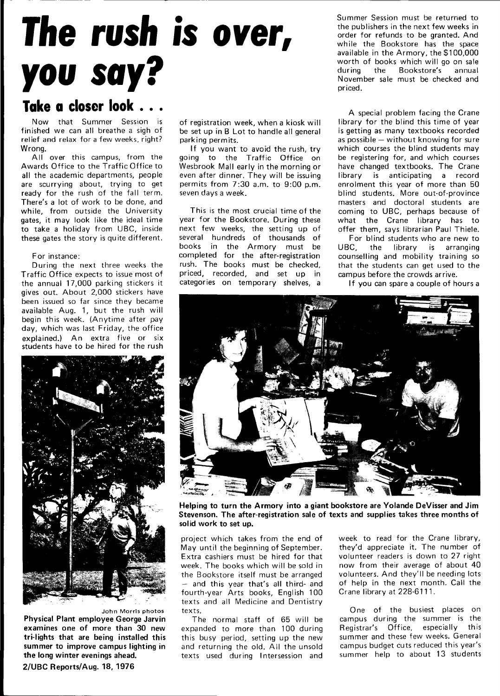# **The rush is over, you say?**

### **Take a closer look . . .**

Now that Summer Session is finished we can all breathe a sigh of relief and relax for a few weeks, right? Wrong.

All over this campus, from the Awards Office to the Traffic Office to all the academic departments, people are scurrying about, trying to get ready for the rush of the fall term. There's a lot of work to be done, and while, from outside the University gates, it may look like the ideal time to take a holiday from UBC, inside these gates the story is quite different.

#### For instance:

During the next three weeks the Traffic Office expects to issue most of the annual 17,000 parking stickers it gives out. About 2,000 stickers have been issued so far since they became available Aug. 1, but the rush will begin this week. (Anytime after pay day, which was last Friday, the office explained.) An extra five or six students have to be hired for the rush



John Morris photos

**Physical Plant employee George Jarvin examines one of more than 30 new tri-lights that are being installed this summer to improve campus lighting in the long winter evenings ahead. 2/UBC Reports/Aug. 18, 1976** 

of registration week, when a kiosk will be set up in B Lot to handle all general parking permits.

If you want to avoid the rush, try going to the Traffic Office on Wesbrook Mall early in the morning or even after dinner. They will be issuing permits from 7:30 a.m. to 9:00 p.m. seven days a week.

This is the most crucial time of the year for the Bookstore. During these next few weeks, the setting up of several hundreds of thousands of books in the Armory must be completed for the after-registration rush. The books must be checked, priced, recorded, and set up in categories on temporary shelves, a

Summer Session must be returned to the publishers in the next few weeks in order for refunds to be granted. And while the Bookstore has the space available in the Armory, the \$100,000 worth of books which will go on sale during the Bookstore's annual November sale must be checked and priced.

A special problem facing the Crane library for the blind this time of year is getting as many textbooks recorded as possible — without knowing for sure which courses the blind students may be registering for, and which courses have changed textbooks. The Crane library is anticipating a record enrolment this year of more than 50 blind students. More out-of-province masters and doctoral students are coming to UBC, perhaps because of what the Crane library has to offer them, says librarian Paul Thiele.

For blind students who are new to UBC, the library is arranging counselling and mobility training so that the students can get used to the campus before the crowds arrive.

If you can spare a couple of hours a



**Helping to turn the Armory into a giant bookstore are Yolande DeVisser and Jim Stevenson. The after-registration sale of texts and supplies takes three months of solid work to set up.** 

project which takes from the end of May until the beginning of September. Extra cashiers must be hired for that week. The books which will be sold in the Bookstore itself must be arranged — and this year that's all third- and fourth-year Arts books, English 100 texts and all Medicine and Dentistry texts.

The normal staff of 65 will be expanded to more than 100 during this busy period, setting up the new and returning the old. All the unsold texts used during Intersession and week to read for the Crane library, they'd appreciate it. The number of volunteer readers is down to 27 right now from their average of about 40 volunteers. And they'll be needing lots of help in the next month. Call the Crane library at 228-6111.

One of the busiest places on campus during the summer is the Registrar's Office, especially this summer and these few weeks. General campus budget cuts reduced this year's summer help to about 13 students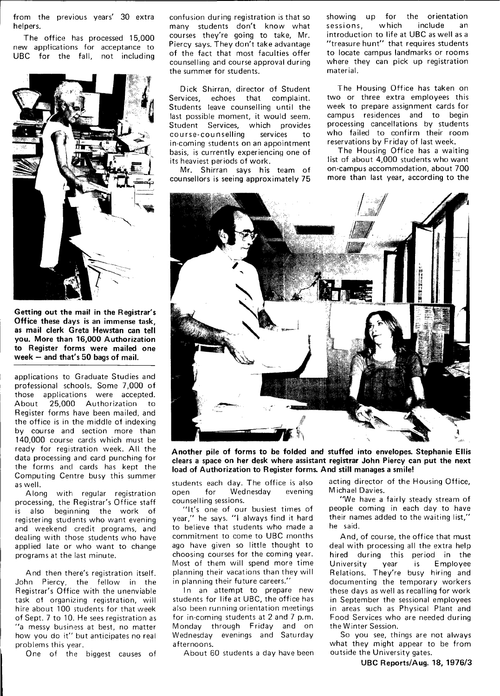from the previous years' 30 extra helpers.

The office has processed 15,000 new applications for acceptance to UBC for the fall, not including



**Getting out the mail in the Registrar's Office these days is an immense task, as mail clerk Greta Hewstan can tell you. More than 16,000 Authorization to Register forms were mailed one week — and that's 50 bags of mail.** 

applications to Graduate Studies and professional schools. Some 7,000 of those applications were accepted. About 25,000 Authorization to Register forms have been mailed, and the office is in the middle of indexing by course and section more than 140,000 course cards which must be ready for registration week. All the data processing and card punching for the forms and cards has kept the Computing Centre busy this summer as well.

Along with regular registration processing, the Registrar's Office staff is also beginning the work of registering students who want evening and weekend credit programs, and dealing with those students who have applied late or who want to change programs at the last minute.

And then there's registration itself. John Piercy, the fellow in the Registrar's Office with the unenviable task of organizing registration, will hire about 100 students for that week of Sept. 7 to 10. He sees registration as "a messy business at best, no matter how you do it" but anticipates no real problems this year.

One of the biggest causes of

confusion during registration is that so many students don't know what courses they're going to take, Mr. Piercy says. They don't take advantage of the fact that most faculties offer counselling and course approval during the summer for students.

Dick Shirran, director of Student Services, echoes that complaint. Students leave counselling until the last possible moment, it would seem. Student Services, which provides course-counselling services to in-coming students on an appointment basis, is currently experiencing one of its heaviest periods of work.

Mr. Shirran says his team of counsellors is seeing approximately 75 showing up for the orientation<br>sessions, which include an sessions, which include an introduction to life at UBC as well as a "treasure hunt" that requires students to locate campus landmarks or rooms where they can pick up registration material.

The Housing Office has taken on two or three extra employees this week to prepare assignment cards for campus residences and to begin processing cancellations by students who failed to confirm their room reservations by Friday of last week.

The Housing Office has a waiting list of about 4,000 students who want on-campus accommodation, about 700 more than last year, according to the



**Another pile of forms to be folded and stuffed into envelopes. Stephanie Ellis clears a space on her desk where assistant registrar John Piercy can put the next load of Authorization to Register forms. And still manages a smile!** 

open for Wednesday evening counselling sessions.

"It's one of our busiest times of year," he says. "I always find it hard to believe that students who made a commitment to come to UBC months ago have given so little thought to choosing courses for the coming year. Most of them will spend more time planning their vacations than they will in planning their future careers."

In an attempt to prepare new students for life at UBC, the office has also been running orientation meetings for in-coming students at 2 and 7 p.m. Monday through Friday and on Wednesday evenings and Saturday afternoons.

About 60 students a day have been

students each day. The office is also acting director of the Housing Office, M ichael Davies.

> "We have a fairly steady stream of people coming in each day to have their names added to the waiting list," he said.

And, of course, the office that must deal with processing all the extra help hired during this period in the University year is Employee Relations. They're busy hiring and documenting the temporary workers these days as well as recalling for work in September the sessional employees in areas such as Physical Plant and Food Services who are needed during the Winter Session.

So you see, things are not always what they might appear to be from outside the University gates.

**UBC Reports/Aug. 18, 1976/3**